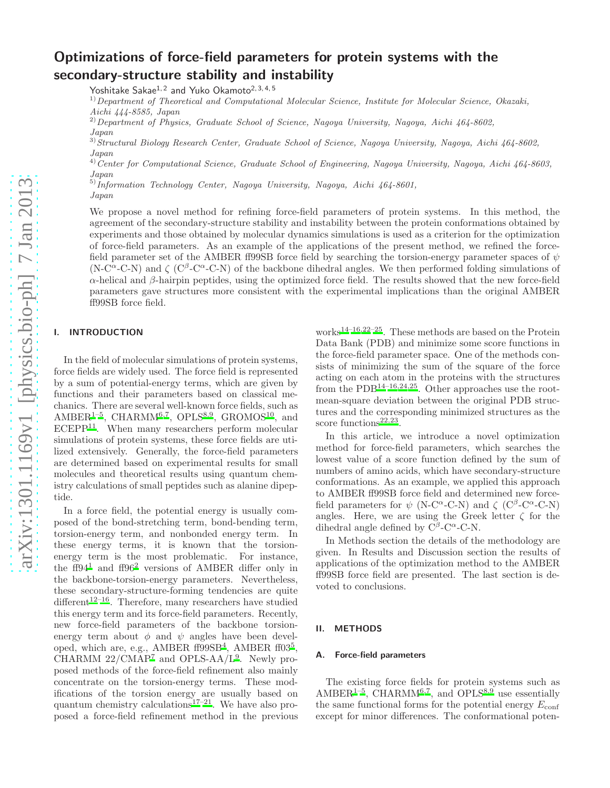# Optimizations of force-field parameters for protein systems with the secondary-structure stability and instability

Yoshitake Sakae<sup>1, 2</sup> and Yuko Okamoto<sup>2, 3, 4, 5</sup>

 $1)$ Department of Theoretical and Computational Molecular Science, Institute for Molecular Science, Okazaki, Aichi 444-8585, Japan

<sup>2)</sup> Department of Physics, Graduate School of Science, Nagoya University, Nagoya, Aichi 464-8602,

Japan

<sup>3)</sup> Structural Biology Research Center, Graduate School of Science, Nagoya University, Nagoya, Aichi 464-8602, Japan

<sup>4)</sup>Center for Computational Science, Graduate School of Engineering, Nagoya University, Nagoya, Aichi 464-8603, Japan

 $^{5)}$ Information Technology Center, Nagoya University, Nagoya, Aichi 464-8601,

Japan

We propose a novel method for refining force-field parameters of protein systems. In this method, the agreement of the secondary-structure stability and instability between the protein conformations obtained by experiments and those obtained by molecular dynamics simulations is used as a criterion for the optimization of force-field parameters. As an example of the applications of the present method, we refined the forcefield parameter set of the AMBER ff99SB force field by searching the torsion-energy parameter spaces of  $\psi$ (N-C<sup> $\alpha$ </sup>-C-N) and  $\zeta$  (C<sup>β</sup>-C<sup> $\alpha$ </sup>-C-N) of the backbone dihedral angles. We then performed folding simulations of α-helical and β-hairpin peptides, using the optimized force field. The results showed that the new force-field parameters gave structures more consistent with the experimental implications than the original AMBER ff99SB force field.

# I. INTRODUCTION

In the field of molecular simulations of protein systems, force fields are widely used. The force field is represented by a sum of potential-energy terms, which are given by functions and their parameters based on classical mechanics. There are several well-known force fields, such as AMBER<sup>[1](#page-2-0)-5</sup>, CHARMM<sup>[6](#page-3-1)[,7](#page-3-2)</sup>, OPLS<sup>[8](#page-3-3)[,9](#page-3-4)</sup>, GROMOS<sup>[10](#page-3-5)</sup>, and ECEPP<sup>[11](#page-3-6)</sup>. When many researchers perform molecular simulations of protein systems, these force fields are utilized extensively. Generally, the force-field parameters are determined based on experimental results for small molecules and theoretical results using quantum chemistry calculations of small peptides such as alanine dipeptide.

In a force field, the potential energy is usually composed of the bond-stretching term, bond-bending term, torsion-energy term, and nonbonded energy term. In these energy terms, it is known that the torsionenergy term is the most problematic. For instance, the ff94<sup>[1](#page-2-0)</sup> and ff96<sup>[2](#page-3-7)</sup> versions of AMBER differ only in the backbone-torsion-energy parameters. Nevertheless, these secondary-structure-forming tendencies are quite different<sup>[12](#page-3-8)[–16](#page-3-9)</sup>. Therefore, many researchers have studied this energy term and its force-field parameters. Recently, new force-field parameters of the backbone torsionenergy term about  $\phi$  and  $\psi$  angles have been devel-oped, which are, e.g., AMBER ff99SB<sup>[4](#page-3-10)</sup>, AMBER ff03<sup>[5](#page-3-0)</sup>, CHARMM  $22/CMAP^7$  $22/CMAP^7$  and OPLS-AA/L<sup>[9](#page-3-4)</sup>. Newly proposed methods of the force-field refinement also mainly concentrate on the torsion-energy terms. These modifications of the torsion energy are usually based on quantum chemistry calculations<sup>[17](#page-3-11)[–21](#page-3-12)</sup>. We have also proposed a force-field refinement method in the previous

works<sup>[14](#page-3-13)[–16](#page-3-9)[,22](#page-3-14)[–25](#page-3-15)</sup>. These methods are based on the Protein Data Bank (PDB) and minimize some score functions in the force-field parameter space. One of the methods consists of minimizing the sum of the square of the force acting on each atom in the proteins with the structures from the PDB<sup>[14](#page-3-13)[–16](#page-3-9)[,24](#page-3-16)[,25](#page-3-15)</sup>. Other approaches use the rootmean-square deviation between the original PDB structures and the corresponding minimized structures as the score functions<sup>[22](#page-3-14)[,23](#page-3-17)</sup>.

In this article, we introduce a novel optimization method for force-field parameters, which searches the lowest value of a score function defined by the sum of numbers of amino acids, which have secondary-structure conformations. As an example, we applied this approach to AMBER ff99SB force field and determined new forcefield parameters for  $\psi$  (N-C<sup> $\alpha$ </sup>-C-N) and  $\zeta$  (C<sup> $\beta$ </sup>-C<sup> $\alpha$ </sup>-C-N) angles. Here, we are using the Greek letter  $\zeta$  for the dihedral angle defined by  $C^{\beta}$ -C<sup> $\alpha$ </sup>-C-N.

In Methods section the details of the methodology are given. In Results and Discussion section the results of applications of the optimization method to the AMBER ff99SB force field are presented. The last section is devoted to conclusions.

# II. METHODS

# A. Force-field parameters

The existing force fields for protein systems such as  $AMBER<sup>1-5</sup>$  $AMBER<sup>1-5</sup>$  $AMBER<sup>1-5</sup>$ , CHARMM<sup>[6](#page-3-1)[,7](#page-3-2)</sup>, and OPLS<sup>[8](#page-3-3)[,9](#page-3-4)</sup> use essentially the same functional forms for the potential energy  $E_{\text{conf}}$ except for minor differences. The conformational poten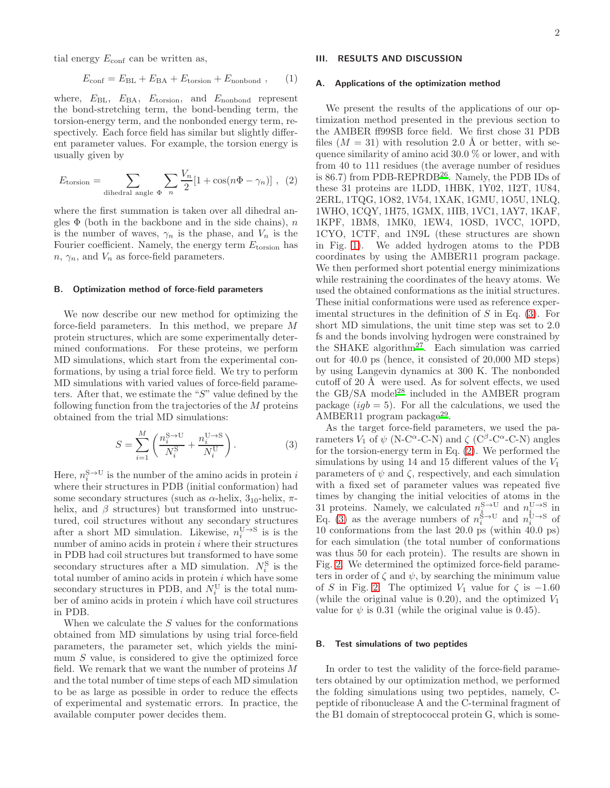tial energy  $E_{\text{conf}}$  can be written as,

$$
E_{\text{conf}} = E_{\text{BL}} + E_{\text{BA}} + E_{\text{torsion}} + E_{\text{nonbond}} , \qquad (1)
$$

where,  $E_{BL}$ ,  $E_{BA}$ ,  $E_{torsion}$ , and  $E_{nonbond}$  represent the bond-stretching term, the bond-bending term, the torsion-energy term, and the nonbonded energy term, respectively. Each force field has similar but slightly different parameter values. For example, the torsion energy is usually given by

<span id="page-1-1"></span>
$$
E_{\text{torsion}} = \sum_{\text{dihedral angle } \Phi} \sum_{n} \frac{V_n}{2} [1 + \cos(n\Phi - \gamma_n)] , \quad (2)
$$

where the first summation is taken over all dihedral angles  $\Phi$  (both in the backbone and in the side chains), n is the number of waves,  $\gamma_n$  is the phase, and  $V_n$  is the Fourier coefficient. Namely, the energy term  $E_{\text{torsion}}$  has  $n, \gamma_n$ , and  $V_n$  as force-field parameters.

### B. Optimization method of force-field parameters

We now describe our new method for optimizing the force-field parameters. In this method, we prepare M protein structures, which are some experimentally determined conformations. For these proteins, we perform MD simulations, which start from the experimental conformations, by using a trial force field. We try to perform MD simulations with varied values of force-field parameters. After that, we estimate the "S" value defined by the following function from the trajectories of the M proteins obtained from the trial MD simulations:

<span id="page-1-0"></span>
$$
S = \sum_{i=1}^{M} \left( \frac{n_i^{\rm S \to U}}{N_i^{\rm S}} + \frac{n_i^{\rm U \to S}}{N_i^{\rm U}} \right). \tag{3}
$$

Here,  $n_i^{\mathbf{S} \to \mathbf{U}}$  is the number of the amino acids in protein i where their structures in PDB (initial conformation) had some secondary structures (such as  $\alpha$ -helix,  $3_{10}$ -helix,  $\pi$ helix, and  $\beta$  structures) but transformed into unstructured, coil structures without any secondary structures after a short MD simulation. Likewise,  $n_i^{\mathbf{U} \rightarrow \mathbf{S}}$  is is the number of amino acids in protein  $i$  where their structures in PDB had coil structures but transformed to have some secondary structures after a MD simulation.  $N_i^{\rm S}$  is the total number of amino acids in protein  $i$  which have some secondary structures in PDB, and  $N_i^{\text{U}}$  is the total number of amino acids in protein  $i$  which have coil structures in PDB.

When we calculate the  $S$  values for the conformations obtained from MD simulations by using trial force-field parameters, the parameter set, which yields the minimum S value, is considered to give the optimized force field. We remark that we want the number of proteins M and the total number of time steps of each MD simulation to be as large as possible in order to reduce the effects of experimental and systematic errors. In practice, the available computer power decides them.

# III. RESULTS AND DISCUSSION

#### A. Applications of the optimization method

We present the results of the applications of our optimization method presented in the previous section to the AMBER ff99SB force field. We first chose 31 PDB files  $(M = 31)$  with resolution 2.0 Å or better, with sequence similarity of amino acid 30.0 % or lower, and with from 40 to 111 residues (the average number of residues is 86.7) from PDB-REPRDB[26](#page-3-18). Namely, the PDB IDs of these 31 proteins are 1LDD, 1HBK, 1Y02, 1I2T, 1U84, 2ERL, 1TQG, 1O82, 1V54, 1XAK, 1GMU, 1O5U, 1NLQ, 1WHO, 1CQY, 1H75, 1GMX, 1IIB, 1VC1, 1AY7, 1KAF, 1KPF, 1BM8, 1MK0, 1EW4, 1OSD, 1VCC, 1OPD, 1CYO, 1CTF, and 1N9L (these structures are shown in Fig. [1\)](#page-4-0). We added hydrogen atoms to the PDB coordinates by using the AMBER11 program package. We then performed short potential energy minimizations while restraining the coordinates of the heavy atoms. We used the obtained conformations as the initial structures. These initial conformations were used as reference experimental structures in the definition of  $S$  in Eq. [\(3\)](#page-1-0). For short MD simulations, the unit time step was set to 2.0 fs and the bonds involving hydrogen were constrained by the SHAKE algorithm[27](#page-3-19). Each simulation was carried out for 40.0 ps (hence, it consisted of 20,000 MD steps) by using Langevin dynamics at 300 K. The nonbonded cutoff of  $20 \text{ Å}$  were used. As for solvent effects, we used the GB/SA model<sup>[28](#page-3-20)</sup> included in the AMBER program package  $(igb = 5)$ . For all the calculations, we used the  $AMBER11$  program package<sup>[29](#page-3-21)</sup>.

As the target force-field parameters, we used the parameters  $V_1$  of  $\psi$  (N-C<sup> $\alpha$ </sup>-C-N) and  $\zeta$  (C<sup> $\beta$ </sup>-C<sup> $\alpha$ </sup>-C-N) angles for the torsion-energy term in Eq. [\(2\)](#page-1-1). We performed the simulations by using 14 and 15 different values of the  $V_1$ parameters of  $\psi$  and  $\zeta$ , respectively, and each simulation with a fixed set of parameter values was repeated five times by changing the initial velocities of atoms in the 31 proteins. Namely, we calculated  $n_{\hat{i}}^{\text{S}\rightarrow\text{U}}$  and  $n_{\hat{i}}^{\text{U}\rightarrow\text{S}}$  in Eq. [\(3\)](#page-1-0) as the average numbers of  $n_i^{\xi \to U}$  and  $n_i^{\xi \to S}$  of 10 conformations from the last 20.0 ps (within 40.0 ps) for each simulation (the total number of conformations was thus 50 for each protein). The results are shown in Fig. [2.](#page-5-0) We determined the optimized force-field parameters in order of  $\zeta$  and  $\psi$ , by searching the minimum value of S in Fig. [2.](#page-5-0) The optimized  $V_1$  value for  $\zeta$  is  $-1.60$ (while the original value is  $(0.20)$ , and the optimized  $V_1$ value for  $\psi$  is 0.31 (while the original value is 0.45).

#### B. Test simulations of two peptides

In order to test the validity of the force-field parameters obtained by our optimization method, we performed the folding simulations using two peptides, namely, Cpeptide of ribonuclease A and the C-terminal fragment of the B1 domain of streptococcal protein G, which is some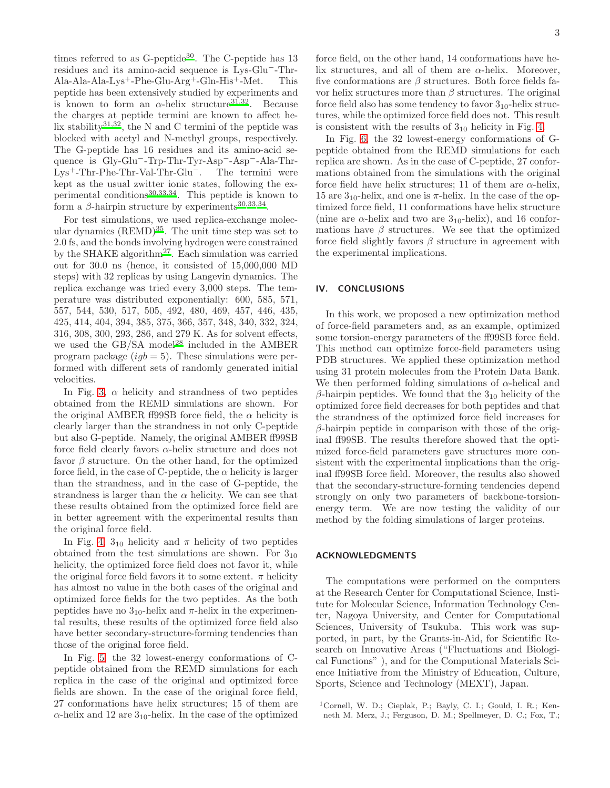times referred to as  $G$ -peptide<sup>[30](#page-3-22)</sup>. The C-peptide has 13 residues and its amino-acid sequence is Lys-Glu−-Thr-Ala-Ala-Ala-Lys<sup>+</sup>-Phe-Glu-Arg<sup>+</sup>-Gln-His<sup>+</sup>-Met. This peptide has been extensively studied by experiments and is known to form an  $\alpha$ -helix structure<sup>[31](#page-3-23)[,32](#page-3-24)</sup>. Because the charges at peptide termini are known to affect he-lix stability<sup>[31](#page-3-23)[,32](#page-3-24)</sup>, the N and C termini of the peptide was blocked with acetyl and N-methyl groups, respectively. The G-peptide has 16 residues and its amino-acid sequence is Gly-Glu−-Trp-Thr-Tyr-Asp−-Asp−-Ala-Thr-Lys<sup>+</sup>-Thr-Phe-Thr-Val-Thr-Glu−. The termini were kept as the usual zwitter ionic states, following the experimental conditions[30](#page-3-22)[,33](#page-3-25)[,34](#page-3-26). This peptide is known to form a  $\beta$ -hairpin structure by experiments<sup>[30](#page-3-22)[,33](#page-3-25)[,34](#page-3-26)</sup>.

For test simulations, we used replica-exchange molecular dynamics  $(REMD)^{35}$  $(REMD)^{35}$  $(REMD)^{35}$ . The unit time step was set to 2.0 fs, and the bonds involving hydrogen were constrained by the SHAKE algorithm<sup>[27](#page-3-19)</sup>. Each simulation was carried out for 30.0 ns (hence, it consisted of 15,000,000 MD steps) with 32 replicas by using Langevin dynamics. The replica exchange was tried every 3,000 steps. The temperature was distributed exponentially: 600, 585, 571, 557, 544, 530, 517, 505, 492, 480, 469, 457, 446, 435, 425, 414, 404, 394, 385, 375, 366, 357, 348, 340, 332, 324, 316, 308, 300, 293, 286, and 279 K. As for solvent effects, we used the GB/SA model<sup>[28](#page-3-20)</sup> included in the AMBER program package  $(igb = 5)$ . These simulations were performed with different sets of randomly generated initial velocities.

In Fig. [3,](#page-6-0)  $\alpha$  helicity and strandness of two peptides obtained from the REMD simulations are shown. For the original AMBER ff99SB force field, the  $\alpha$  helicity is clearly larger than the strandness in not only C-peptide but also G-peptide. Namely, the original AMBER ff99SB force field clearly favors  $\alpha$ -helix structure and does not favor  $\beta$  structure. On the other hand, for the optimized force field, in the case of C-peptide, the  $\alpha$  helicity is larger than the strandness, and in the case of G-peptide, the strandness is larger than the  $\alpha$  helicity. We can see that these results obtained from the optimized force field are in better agreement with the experimental results than the original force field.

In Fig. [4,](#page-7-0)  $3_{10}$  helicity and  $\pi$  helicity of two peptides obtained from the test simulations are shown. For  $3_{10}$ helicity, the optimized force field does not favor it, while the original force field favors it to some extent.  $\pi$  helicity has almost no value in the both cases of the original and optimized force fields for the two peptides. As the both peptides have no  $3_{10}$ -helix and  $\pi$ -helix in the experimental results, these results of the optimized force field also have better secondary-structure-forming tendencies than those of the original force field.

In Fig. [5,](#page-8-0) the 32 lowest-energy conformations of Cpeptide obtained from the REMD simulations for each replica in the case of the original and optimized force fields are shown. In the case of the original force field, 27 conformations have helix structures; 15 of them are  $\alpha$ -helix and 12 are 3<sub>10</sub>-helix. In the case of the optimized

force field, on the other hand, 14 conformations have helix structures, and all of them are  $\alpha$ -helix. Moreover, five conformations are  $\beta$  structures. Both force fields favor helix structures more than  $\beta$  structures. The original force field also has some tendency to favor  $3_{10}$ -helix structures, while the optimized force field does not. This result is consistent with the results of  $3_{10}$  helicity in Fig. [4.](#page-7-0)

In Fig. [6,](#page-9-0) the 32 lowest-energy conformations of Gpeptide obtained from the REMD simulations for each replica are shown. As in the case of C-peptide, 27 conformations obtained from the simulations with the original force field have helix structures; 11 of them are  $\alpha$ -helix, 15 are  $3_{10}$ -helix, and one is  $\pi$ -helix. In the case of the optimized force field, 11 conformations have helix structure (nine are  $\alpha$ -helix and two are 3<sub>10</sub>-helix), and 16 conformations have  $\beta$  structures. We see that the optimized force field slightly favors  $\beta$  structure in agreement with the experimental implications.

# IV. CONCLUSIONS

In this work, we proposed a new optimization method of force-field parameters and, as an example, optimized some torsion-energy parameters of the ff99SB force field. This method can optimize force-field parameters using PDB structures. We applied these optimization method using 31 protein molecules from the Protein Data Bank. We then performed folding simulations of  $\alpha$ -helical and  $β$ -hairpin peptides. We found that the 3<sub>10</sub> helicity of the optimized force field decreases for both peptides and that the strandness of the optimized force field increases for  $\beta$ -hairpin peptide in comparison with those of the original ff99SB. The results therefore showed that the optimized force-field parameters gave structures more consistent with the experimental implications than the original ff99SB force field. Moreover, the results also showed that the secondary-structure-forming tendencies depend strongly on only two parameters of backbone-torsionenergy term. We are now testing the validity of our method by the folding simulations of larger proteins.

# ACKNOWLEDGMENTS

The computations were performed on the computers at the Research Center for Computational Science, Institute for Molecular Science, Information Technology Center, Nagoya University, and Center for Computational Sciences, University of Tsukuba. This work was supported, in part, by the Grants-in-Aid, for Scientific Research on Innovative Areas ("Fluctuations and Biological Functions" ), and for the Computional Materials Science Initiative from the Ministry of Education, Culture, Sports, Science and Technology (MEXT), Japan.

<span id="page-2-0"></span><sup>1</sup>Cornell, W. D.; Cieplak, P.; Bayly, C. I.; Gould, I. R.; Kenneth M. Merz, J.; Ferguson, D. M.; Spellmeyer, D. C.; Fox, T.;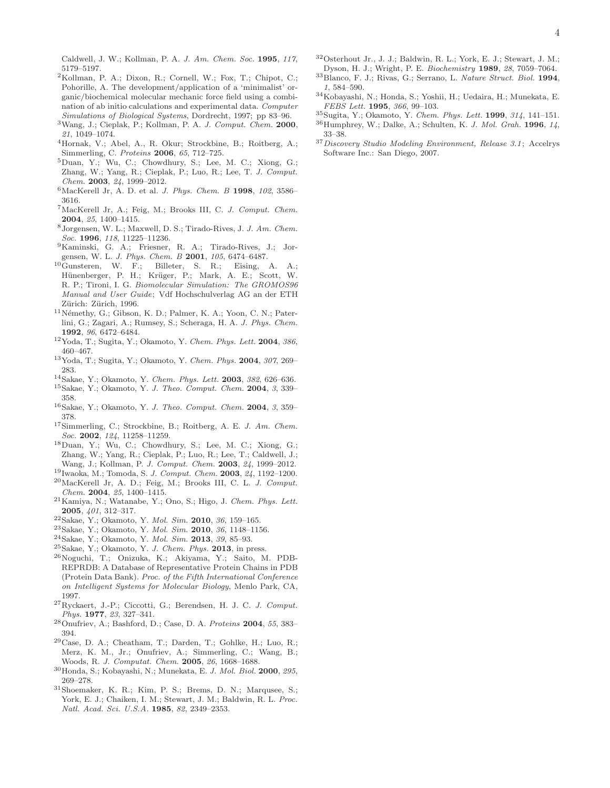Caldwell, J. W.; Kollman, P. A. *J. Am. Chem. Soc.* 1995, *117*, 5179–5197.

- <span id="page-3-7"></span><sup>2</sup>Kollman, P. A.; Dixon, R.; Cornell, W.; Fox, T.; Chipot, C.; Pohorille, A. The development/application of a 'minimalist' organic/biochemical molecular mechanic force field using a combination of ab initio calculations and experimental data. *Computer Simulations of Biological Systems*, Dordrecht, 1997; pp 83–96.
- <sup>3</sup>Wang, J.; Cieplak, P.; Kollman, P. A. *J. Comput. Chem.* 2000, *21*, 1049–1074.
- <span id="page-3-10"></span><sup>4</sup>Hornak, V.; Abel, A., R. Okur; Strockbine, B.; Roitberg, A.; Simmerling, C. *Proteins* 2006, *65*, 712–725.
- <span id="page-3-0"></span><sup>5</sup>Duan, Y.; Wu, C.; Chowdhury, S.; Lee, M. C.; Xiong, G.; Zhang, W.; Yang, R.; Cieplak, P.; Luo, R.; Lee, T. *J. Comput. Chem.* 2003, *24*, 1999–2012.
- <span id="page-3-1"></span><sup>6</sup>MacKerell Jr, A. D. et al. *J. Phys. Chem. B* 1998, *102*, 3586– 3616.
- <span id="page-3-2"></span><sup>7</sup>MacKerell Jr, A.; Feig, M.; Brooks III, C. *J. Comput. Chem.* 2004, *25*, 1400–1415.
- <span id="page-3-3"></span><sup>8</sup>Jorgensen, W. L.; Maxwell, D. S.; Tirado-Rives, J. *J. Am. Chem. Soc.* 1996, *118*, 11225–11236.
- <span id="page-3-4"></span><sup>9</sup>Kaminski, G. A.; Friesner, R. A.; Tirado-Rives, J.; Jorgensen, W. L. *J. Phys. Chem. B* 2001, *105*, 6474–6487.
- <span id="page-3-5"></span><sup>10</sup>Gunsteren, W. F.; Billeter, S. R.; Eising, A. A.; Hünenberger, P. H.; Krüger, P.; Mark, A. E.; Scott, W. R. P.; Tironi, I. G. *Biomolecular Simulation: The GROMOS96 Manual and User Guide*; Vdf Hochschulverlag AG an der ETH Zürich: Zürich, 1996.
- <span id="page-3-6"></span> $11$ Némethy, G.; Gibson, K. D.; Palmer, K. A.; Yoon, C. N.; Paterlini, G.; Zagari, A.; Rumsey, S.; Scheraga, H. A. *J. Phys. Chem.* 1992, *96*, 6472–6484.
- <span id="page-3-8"></span><sup>12</sup>Yoda, T.; Sugita, Y.; Okamoto, Y. *Chem. Phys. Lett.* 2004, *386*, 460–467.
- <sup>13</sup>Yoda, T.; Sugita, Y.; Okamoto, Y. *Chem. Phys.* 2004, *307*, 269– 283.
- <span id="page-3-13"></span><sup>14</sup>Sakae, Y.; Okamoto, Y. *Chem. Phys. Lett.* 2003, *382*, 626–636.
- <sup>15</sup>Sakae, Y.; Okamoto, Y. *J. Theo. Comput. Chem.* 2004, *3*, 339– 358.
- <span id="page-3-9"></span><sup>16</sup>Sakae, Y.; Okamoto, Y. *J. Theo. Comput. Chem.* 2004, *3*, 359– 378.
- <span id="page-3-11"></span><sup>17</sup>Simmerling, C.; Strockbine, B.; Roitberg, A. E. *J. Am. Chem. Soc.* 2002, *124*, 11258–11259.
- <sup>18</sup>Duan, Y.; Wu, C.; Chowdhury, S.; Lee, M. C.; Xiong, G.; Zhang, W.; Yang, R.; Cieplak, P.; Luo, R.; Lee, T.; Caldwell, J.; Wang, J.; Kollman, P. *J. Comput. Chem.* 2003, *24*, 1999–2012.
- <sup>19</sup>Iwaoka, M.; Tomoda, S. *J. Comput. Chem.* 2003, *24*, 1192–1200.
- <sup>20</sup>MacKerell Jr, A. D.; Feig, M.; Brooks III, C. L. *J. Comput. Chem.* 2004, *25*, 1400–1415.
- <span id="page-3-12"></span><sup>21</sup>Kamiya, N.; Watanabe, Y.; Ono, S.; Higo, J. *Chem. Phys. Lett.* 2005, *401*, 312–317.
- <span id="page-3-14"></span><sup>22</sup>Sakae, Y.; Okamoto, Y. *Mol. Sim.* 2010, *36*, 159–165.
- <span id="page-3-17"></span><sup>23</sup>Sakae, Y.; Okamoto, Y. *Mol. Sim.* 2010, *36*, 1148–1156.
- <span id="page-3-16"></span><sup>24</sup>Sakae, Y.; Okamoto, Y. *Mol. Sim.* 2013, *39*, 85–93.
- <span id="page-3-15"></span><sup>25</sup>Sakae, Y.; Okamoto, Y. *J. Chem. Phys.* 2013, in press.
- <span id="page-3-18"></span><sup>26</sup>Noguchi, T.; Onizuka, K.; Akiyama, Y.; Saito, M. PDB-REPRDB: A Database of Representative Protein Chains in PDB (Protein Data Bank). *Proc. of the Fifth International Conference on Intelligent Systems for Molecular Biology*, Menlo Park, CA, 1997.
- <span id="page-3-19"></span><sup>27</sup>Ryckaert, J.-P.; Ciccotti, G.; Berendsen, H. J. C. *J. Comput. Phys.* 1977, *23*, 327–341.
- <span id="page-3-20"></span><sup>28</sup>Onufriev, A.; Bashford, D.; Case, D. A. *Proteins* 2004, *55*, 383– 394.
- <span id="page-3-21"></span> $^{29}\mathrm{Case},$  D. A.; Cheatham, T.; Darden, T.; Gohlke, H.; Luo, R.; Merz, K. M., Jr.; Onufriev, A.; Simmerling, C.; Wang, B.; Woods, R. *J. Computat. Chem.* 2005, *26*, 1668–1688.
- <span id="page-3-22"></span><sup>30</sup>Honda, S.; Kobayashi, N.; Munekata, E. *J. Mol. Biol.* 2000, *295*, 269–278.
- <span id="page-3-23"></span><sup>31</sup>Shoemaker, K. R.; Kim, P. S.; Brems, D. N.; Marqusee, S.; York, E. J.; Chaiken, I. M.; Stewart, J. M.; Baldwin, R. L. *Proc. Natl. Acad. Sci. U.S.A.* 1985, *82*, 2349–2353.
- <span id="page-3-24"></span><sup>32</sup>Osterhout Jr., J. J.; Baldwin, R. L.; York, E. J.; Stewart, J. M.; Dyson, H. J.; Wright, P. E. *Biochemistry* 1989, *28*, 7059–7064.
- <span id="page-3-25"></span><sup>33</sup>Blanco, F. J.; Rivas, G.; Serrano, L. *Nature Struct. Biol.* 1994, *1*, 584–590.
- <span id="page-3-26"></span> $^{34}\rm{K}$ obayashi, N.; Honda, S.; Yoshii, H.; Uedaira, H.; Munekata, E. *FEBS Lett.* 1995, *366*, 99–103.
- <span id="page-3-27"></span><sup>35</sup>Sugita, Y.; Okamoto, Y. *Chem. Phys. Lett.* 1999, *314*, 141–151.
- <span id="page-3-28"></span><sup>36</sup>Humphrey, W.; Dalke, A.; Schulten, K. *J. Mol. Grah.* 1996, *14*, 33–38.
- <span id="page-3-29"></span><sup>37</sup>*Discovery Studio Modeling Environment, Release 3.1*; Accelrys Software Inc.: San Diego, 2007.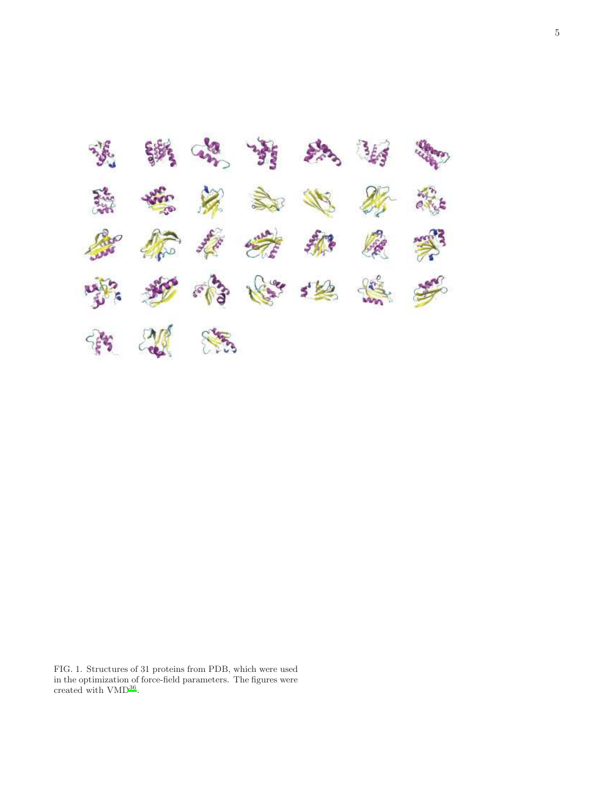

<span id="page-4-0"></span>FIG. 1. Structures of 31 proteins from PDB, which were used in the optimization of force-field parameters. The figures were created with  $VMD^{36}$  $VMD^{36}$  $VMD^{36}$ .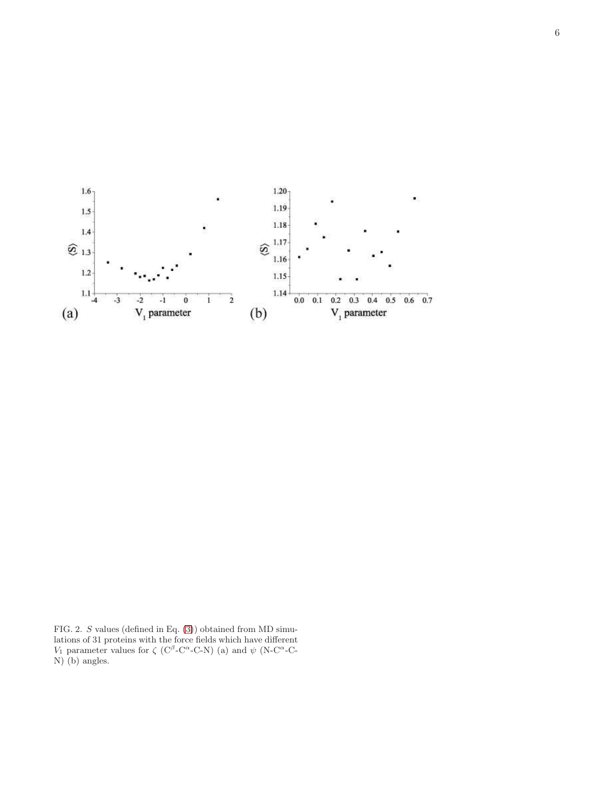

<span id="page-5-0"></span>FIG. 2. S values (defined in Eq. [\(3\)](#page-1-0)) obtained from MD simulations of 31 proteins with the force fields which have different V<sub>1</sub> parameter values for  $\zeta$  (C<sup>β</sup>-C<sup>α</sup>-C-N) (a) and  $\psi$  (N-C<sup>α</sup>-C-N) (b) angles.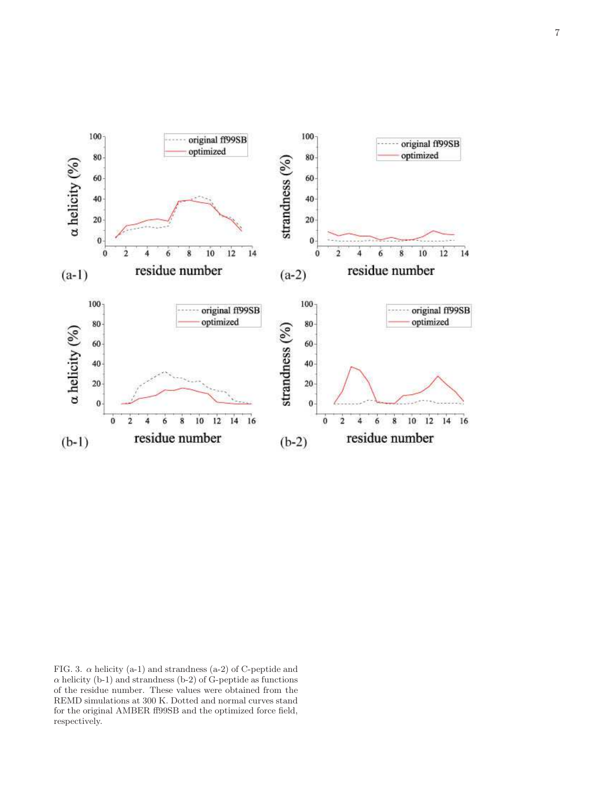

<span id="page-6-0"></span>FIG. 3.  $\alpha$  helicity (a-1) and strandness (a-2) of C-peptide and  $\alpha$  helicity (b-1) and strandness (b-2) of G-peptide as functions of the residue number. These values were obtained from the REMD simulations at 300 K. Dotted and normal curves stand for the original AMBER ff99SB and the optimized force field, respectively.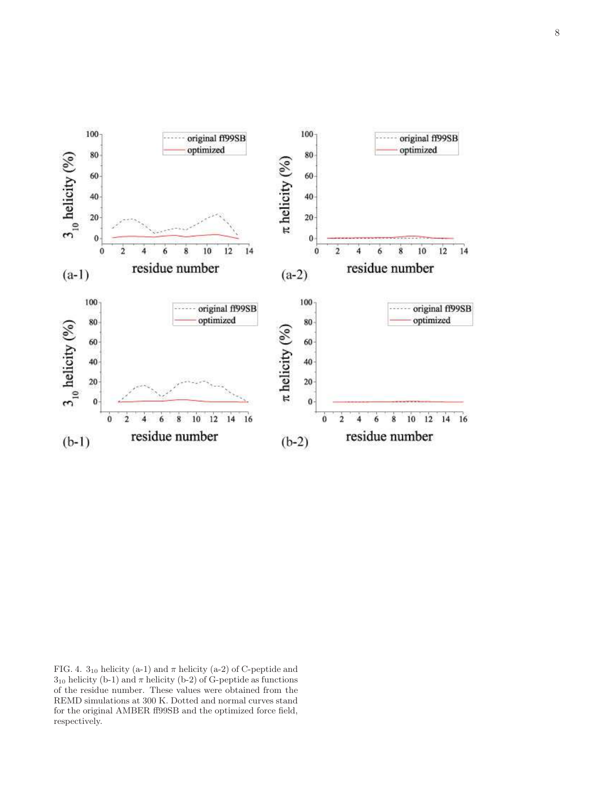

<span id="page-7-0"></span>FIG. 4. 3<sub>10</sub> helicity (a-1) and  $\pi$  helicity (a-2) of C-peptide and  $3_{10}$  helicity (b-1) and  $\pi$  helicity (b-2) of G-peptide as functions of the residue number. These values were obtained from the REMD simulations at 300 K. Dotted and normal curves stand for the original AMBER ff99SB and the optimized force field, respectively.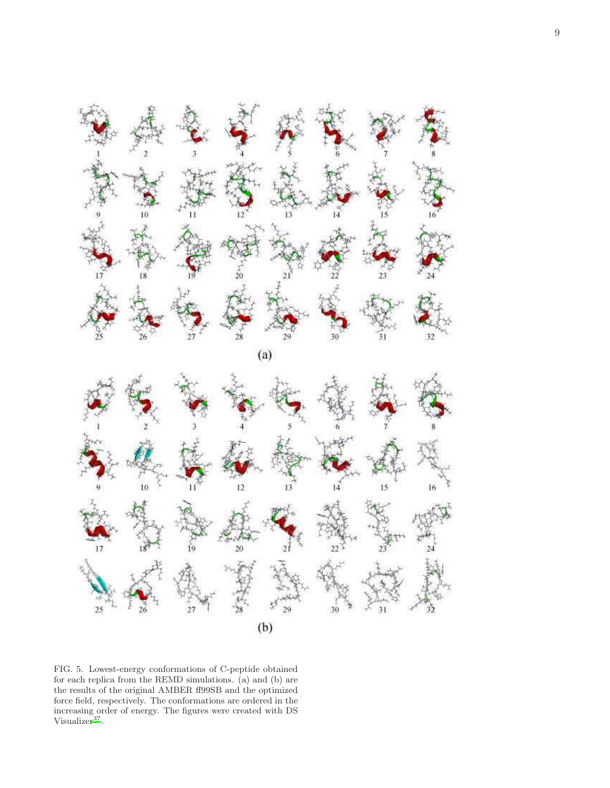

 $(a)$ 



<span id="page-8-0"></span>FIG. 5. Lowest-energy conformations of C-peptide obtained for each replica from the REMD simulations. (a) and (b) are the results of the original AMBER ff99SB and the optimized force field, respectively. The conformations are ordered in the increasing order of energy. The figures were created with DS Visualizer<sup>[37](#page-3-29)</sup>.